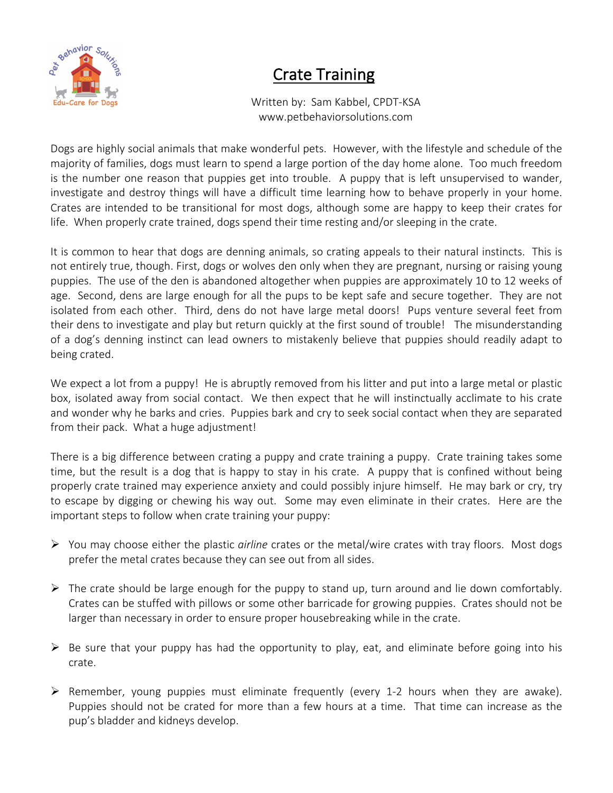

## Crate Training

 Written by: Sam Kabbel, CPDT-KSA www.petbehaviorsolutions.com

Dogs are highly social animals that make wonderful pets. However, with the lifestyle and schedule of the majority of families, dogs must learn to spend a large portion of the day home alone. Too much freedom is the number one reason that puppies get into trouble. A puppy that is left unsupervised to wander, investigate and destroy things will have a difficult time learning how to behave properly in your home. Crates are intended to be transitional for most dogs, although some are happy to keep their crates for life. When properly crate trained, dogs spend their time resting and/or sleeping in the crate.

It is common to hear that dogs are denning animals, so crating appeals to their natural instincts. This is not entirely true, though. First, dogs or wolves den only when they are pregnant, nursing or raising young puppies. The use of the den is abandoned altogether when puppies are approximately 10 to 12 weeks of age. Second, dens are large enough for all the pups to be kept safe and secure together. They are not isolated from each other. Third, dens do not have large metal doors! Pups venture several feet from their dens to investigate and play but return quickly at the first sound of trouble! The misunderstanding of a dog's denning instinct can lead owners to mistakenly believe that puppies should readily adapt to being crated.

We expect a lot from a puppy! He is abruptly removed from his litter and put into a large metal or plastic box, isolated away from social contact. We then expect that he will instinctually acclimate to his crate and wonder why he barks and cries. Puppies bark and cry to seek social contact when they are separated from their pack. What a huge adjustment!

There is a big difference between crating a puppy and crate training a puppy. Crate training takes some time, but the result is a dog that is happy to stay in his crate. A puppy that is confined without being properly crate trained may experience anxiety and could possibly injure himself. He may bark or cry, try to escape by digging or chewing his way out. Some may even eliminate in their crates. Here are the important steps to follow when crate training your puppy:

- Ø You may choose either the plastic *airline* crates or the metal/wire crates with tray floors. Most dogs prefer the metal crates because they can see out from all sides.
- $\triangleright$  The crate should be large enough for the puppy to stand up, turn around and lie down comfortably. Crates can be stuffed with pillows or some other barricade for growing puppies. Crates should not be larger than necessary in order to ensure proper housebreaking while in the crate.
- $\triangleright$  Be sure that your puppy has had the opportunity to play, eat, and eliminate before going into his crate.
- $\triangleright$  Remember, young puppies must eliminate frequently (every 1-2 hours when they are awake). Puppies should not be crated for more than a few hours at a time. That time can increase as the pup's bladder and kidneys develop.